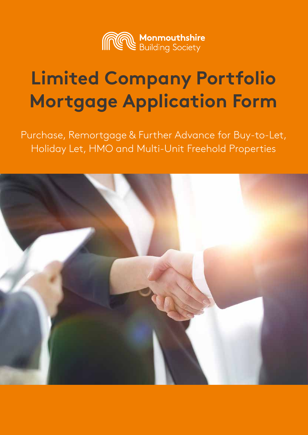

# **Limited Company Portfolio Mortgage Application Form**

Purchase, Remortgage & Further Advance for Buy-to-Let, Holiday Let, HMO and Multi-Unit Freehold Properties

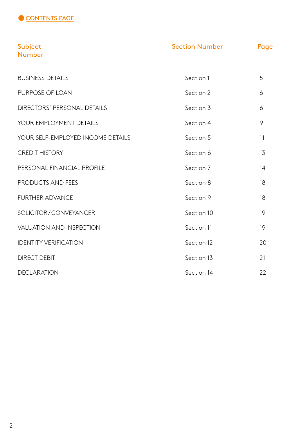

| Subject<br><b>Number</b>          | <b>Section Number</b> | Page |
|-----------------------------------|-----------------------|------|
| <b>BUSINESS DETAILS</b>           | Section 1             | 5    |
| PURPOSE OF LOAN                   | Section 2             | 6    |
| DIRECTORS' PERSONAL DETAILS       | Section 3             | 6    |
| YOUR EMPLOYMENT DETAILS           | Section 4             | 9    |
| YOUR SELF-EMPLOYED INCOME DETAILS | Section 5             | 11   |
| <b>CREDIT HISTORY</b>             | Section 6             | 13   |
| PERSONAL FINANCIAL PROFILE        | Section 7             | 14   |
| PRODUCTS AND FEES                 | Section 8             | 18   |
| <b>FURTHER ADVANCE</b>            | Section 9             | 18   |
| SOLICITOR/CONVEYANCER             | Section 10            | 19   |
| <b>VALUATION AND INSPECTION</b>   | Section 11            | 19   |
| <b>IDENTITY VERIFICATION</b>      | Section 12            | 20   |
| <b>DIRECT DEBIT</b>               | Section 13            | 21   |
| <b>DECLARATION</b>                | Section 14            | 22   |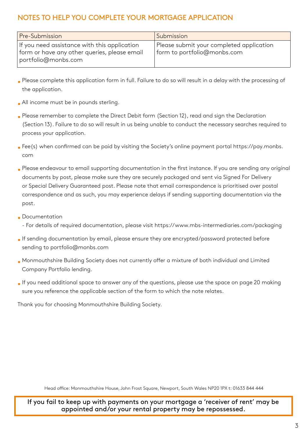# NOTES TO HELP YOU COMPLETE YOUR MORTGAGE APPLICATION

| <b>Pre-Submission</b>                                                                                               | Submission                                                              |
|---------------------------------------------------------------------------------------------------------------------|-------------------------------------------------------------------------|
| If you need assistance with this application<br>form or have any other queries, please email<br>portfolio@monbs.com | Please submit your completed application<br>form to portfolio@monbs.com |

- Please complete this application form in full. Failure to do so will result in a delay with the processing of the application.
- All income must be in pounds sterling.
- Please remember to complete the Direct Debit form (Section 12), read and sign the Declaration (Section 13). Failure to do so will result in us being unable to conduct the necessary searches required to process your application.
- Fee(s) when confirmed can be paid by visiting the Society's online payment portal https://pay.monbs. com
- Please endeavour to email supporting documentation in the first instance. If you are sending any original documents by post, please make sure they are securely packaged and sent via Signed For Delivery or Special Delivery Guaranteed post. Please note that email correspondence is prioritised over postal correspondence and as such, you may experience delays if sending supporting documentation via the post.
- Documentation
	- For details of required documentation, please visit https://www.mbs-intermediaries.com/packaging
- If sending documentation by email, please ensure they are encrypted/password protected before sending to portfolio@monbs.com
- Monmouthshire Building Society does not currently offer a mixture of both individual and Limited Company Portfolio lending.
- If you need additional space to answer any of the questions, please use the space on page 20 making sure you reference the applicable section of the form to which the note relates.

Thank you for choosing Monmouthshire Building Society.

Head office: Monmouthshire House, John Frost Square, Newport, South Wales NP20 1PX t: 01633 844 444

If you fail to keep up with payments on your mortgage a 'receiver of rent' may be appointed and/or your rental property may be repossessed.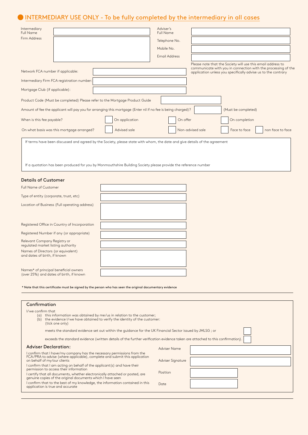# INTERMEDIARY USE ONLY - To be fully completed by the intermediary in all cases

C

| Intermediary<br><b>Full Name</b>                                                                                                                                                     | Adviser's<br><b>Full Name</b> |                                                                                                                                |
|--------------------------------------------------------------------------------------------------------------------------------------------------------------------------------------|-------------------------------|--------------------------------------------------------------------------------------------------------------------------------|
| <b>Firm Address</b>                                                                                                                                                                  | Telephone No.                 |                                                                                                                                |
|                                                                                                                                                                                      | Mobile No.                    |                                                                                                                                |
|                                                                                                                                                                                      | <b>Email Address</b>          |                                                                                                                                |
|                                                                                                                                                                                      |                               | Please note that the Society will use this email address to                                                                    |
| Network FCA number if applicable:                                                                                                                                                    |                               | communicate with you in connection with the processing of the<br>application unless you specifically advise us to the contrary |
| Intermediary Firm FCA registration number:                                                                                                                                           |                               |                                                                                                                                |
| Mortgage Club (if applicable):                                                                                                                                                       |                               |                                                                                                                                |
| Product Code (Must be completed) Please refer to the Mortgage Product Guide                                                                                                          |                               |                                                                                                                                |
| Amount of fee the applicant will pay you for arranging this mortgage (Enter nil if no fee is being charged)?                                                                         |                               | (Must be completed)                                                                                                            |
| On application<br>When is this fee payable?                                                                                                                                          | On offer                      | On completion                                                                                                                  |
| Advised sale<br>On what basis was this mortgage arranged?                                                                                                                            |                               | Face to face<br>Non-advised sale<br>non face to face                                                                           |
| If terms have been discussed and agreed by the Society, please state with whom, the date and give details of the agreement                                                           |                               |                                                                                                                                |
|                                                                                                                                                                                      |                               |                                                                                                                                |
|                                                                                                                                                                                      |                               |                                                                                                                                |
| If a quotation has been produced for you by Monmouthshire Building Society please provide the reference number                                                                       |                               |                                                                                                                                |
| <b>Details of Customer</b>                                                                                                                                                           |                               |                                                                                                                                |
| <b>Full Name of Customer</b>                                                                                                                                                         |                               |                                                                                                                                |
| Type of entity (corporate, trust, etc)                                                                                                                                               |                               |                                                                                                                                |
| Location of Business (Full operating address)                                                                                                                                        |                               |                                                                                                                                |
|                                                                                                                                                                                      |                               |                                                                                                                                |
| Registered Office in Country of Incorporation                                                                                                                                        |                               |                                                                                                                                |
| Registered Number if any (or appropriate)                                                                                                                                            |                               |                                                                                                                                |
| Relevant Company Registry or                                                                                                                                                         |                               |                                                                                                                                |
| regulated market listing authority<br>Names of Directors (or equivalent)                                                                                                             |                               |                                                                                                                                |
| and dates of birth, if known                                                                                                                                                         |                               |                                                                                                                                |
| Names* of principal beneficial owners                                                                                                                                                |                               |                                                                                                                                |
| (over 25%) and dates of birth, if known                                                                                                                                              |                               |                                                                                                                                |
| * Note that this certificate must be signed by the person who has seen the original documentary evidence                                                                             |                               |                                                                                                                                |
|                                                                                                                                                                                      |                               |                                                                                                                                |
| Confirmation                                                                                                                                                                         |                               |                                                                                                                                |
| I/we confirm that                                                                                                                                                                    |                               |                                                                                                                                |
| (a) this information was obtained by me/us in relation to the customer;<br>(b) the evidence I/we have obtained to verify the identity of the customer:<br>(tick one only)            |                               |                                                                                                                                |
| meets the standard evidence set out within the guidance for the UK Financial Sector issued by JMLSG; or                                                                              |                               |                                                                                                                                |
| exceeds the standard evidence (written details of the further verification evidence taken are attached to this confirmation).                                                        |                               |                                                                                                                                |
| <b>Adviser Declaration:</b>                                                                                                                                                          | <b>Adviser Name</b>           |                                                                                                                                |
| I confirm that I have/my company has the necessary permissions from the<br>FCA/PRA to advise (where applicable), complete and submit this application<br>on behalf of my/our clients | Adviser Signature             |                                                                                                                                |
| I confirm that I am acting on behalf of the applicant (s) and have their<br>permission to access their information                                                                   |                               |                                                                                                                                |
| certify that all documents, whether electronically attached or posted, are                                                                                                           | Position                      |                                                                                                                                |

Date

I certify that all documents, whether electronically attached or posted, are genuine copies of the original documents which I have seen I confirm that to the best of my knowledge, the information contained in this application is true and accurate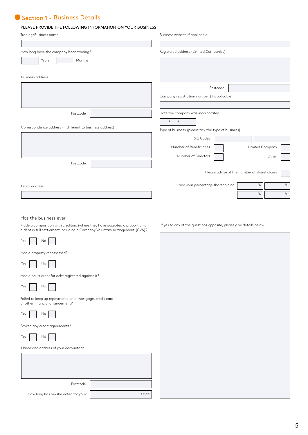# Section 1 - Business Details

#### PLEASE PROVIDE THE FOLLOWING INFORMATION ON YOUR BUSINESS

| PLEASE PROVIDE THE FOLLOWING INFORMATION ON YOUR BUSINESS                                  |                                                                    |
|--------------------------------------------------------------------------------------------|--------------------------------------------------------------------|
| Trading/Business name                                                                      | Business website if applicable                                     |
|                                                                                            |                                                                    |
| How long have the company been trading?                                                    | Registered address (Limited Companies)                             |
| Months<br>Years                                                                            |                                                                    |
|                                                                                            |                                                                    |
| <b>Business address</b>                                                                    |                                                                    |
|                                                                                            | Postcode                                                           |
|                                                                                            | Company registration number (if applicable)                        |
|                                                                                            |                                                                    |
| Postcode                                                                                   | Date the company was incorporated                                  |
|                                                                                            | $\prime$<br>$\prime$                                               |
| Correspondence address (if different to business address)                                  | Type of business (please tick the type of business)                |
|                                                                                            | SIC Codes                                                          |
|                                                                                            | Number of Beneficiaries<br>Limited Company                         |
|                                                                                            | Number of Directors<br>Other                                       |
| Postcode                                                                                   |                                                                    |
|                                                                                            | Please advise of the number of shareholders                        |
|                                                                                            |                                                                    |
| Email address                                                                              | and your percentage shareholding<br>$\%$<br>$\%$                   |
|                                                                                            | $\%$<br>$\%$                                                       |
|                                                                                            |                                                                    |
| Has the business ever                                                                      |                                                                    |
| Made a composition with creditors (where they have accepted a proportion of                | If yes to any of the questions opposite, please give details below |
| a debt in full settlement including a Company Voluntary Arrangement (CVA)?                 |                                                                    |
| Yes<br>No                                                                                  |                                                                    |
|                                                                                            |                                                                    |
| Had a property repossessed?                                                                |                                                                    |
| Yes<br>No                                                                                  |                                                                    |
| Had a court order for debt registered against it?                                          |                                                                    |
| Yes                                                                                        |                                                                    |
| No                                                                                         |                                                                    |
| Failed to keep up repayments on a mortgage, credit card<br>or other financial arrangement? |                                                                    |
| Yes<br>No                                                                                  |                                                                    |
| Broken any credit agreements?                                                              |                                                                    |
| Yes<br>No                                                                                  |                                                                    |
| Name and address of your accountant                                                        |                                                                    |
|                                                                                            |                                                                    |

|       | Postcode                           |
|-------|------------------------------------|
| years | How long has he/she acted for you? |

5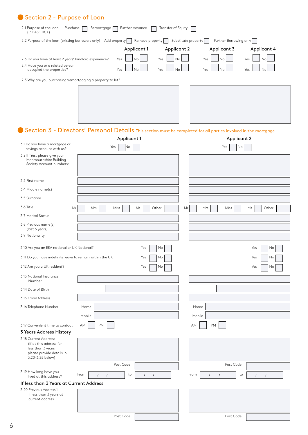| 2.1 Purpose of the loan<br>Purchase<br>(PLEASE TICK)         | Remortgage<br>Further Advance                                                                                   | Transfer of Equity                |                     |                        |                      |
|--------------------------------------------------------------|-----------------------------------------------------------------------------------------------------------------|-----------------------------------|---------------------|------------------------|----------------------|
|                                                              | 2.2 Purpose of the loan (existing borrowers only) Add property                                                  | Remove property<br>$\mathbf{I}$   | Substitute property | Further Borrowing only |                      |
|                                                              |                                                                                                                 | Applicant 1<br><b>Applicant 2</b> |                     | Applicant 3            | Applicant 4          |
| 2.3 Do you have at least 2 years' landlord experience?       | Yes                                                                                                             | No<br>Yes<br>No                   | Yes                 | No                     | Yes<br>No            |
| 2.4 Have you or a related person<br>occupied the properties? | Yes                                                                                                             | No<br>Yes<br>No                   | Yes                 | Nα                     | Yes<br>Νo            |
| 2.5 Why are you purchasing/remortgaging a property to let?   |                                                                                                                 |                                   |                     |                        |                      |
|                                                              |                                                                                                                 |                                   |                     |                        |                      |
|                                                              |                                                                                                                 |                                   |                     |                        |                      |
|                                                              |                                                                                                                 |                                   |                     |                        |                      |
|                                                              |                                                                                                                 |                                   |                     |                        |                      |
|                                                              |                                                                                                                 |                                   |                     |                        |                      |
|                                                              | Section 3 - Directors' Personal Details This section must be completed for all parties involved in the mortgage |                                   |                     |                        |                      |
|                                                              | Applicant 1                                                                                                     |                                   |                     | <b>Applicant 2</b>     |                      |
| 3.1 Do you have a mortgage or<br>savings account with us?    | Yes<br> No                                                                                                      |                                   |                     | Yes<br>No              |                      |
| 3.2 If 'Yes', please give your<br>Monmouthshire Building     |                                                                                                                 |                                   |                     |                        |                      |
| Society Account numbers:                                     |                                                                                                                 |                                   |                     |                        |                      |
|                                                              |                                                                                                                 |                                   |                     |                        |                      |
| 3.3 First name                                               |                                                                                                                 |                                   |                     |                        |                      |
| 3.4 Middle name(s)                                           |                                                                                                                 |                                   |                     |                        |                      |
| 3.5 Surname                                                  |                                                                                                                 |                                   |                     |                        |                      |
| 3.6 Title<br>Mr                                              | Miss<br>Mrs                                                                                                     | Other<br>Ms                       | Mrs<br>Mr           | Miss                   | Other<br>Ms          |
| 3.7 Marital Status                                           |                                                                                                                 |                                   |                     |                        |                      |
| 3.8 Previous name(s)<br>(last 3 years)                       |                                                                                                                 |                                   |                     |                        |                      |
| 3.9 Nationality                                              |                                                                                                                 |                                   |                     |                        |                      |
|                                                              |                                                                                                                 |                                   |                     |                        |                      |
| 3.10 Are you an EEA national or UK National?                 |                                                                                                                 | Yes<br>No                         |                     |                        | Yes<br>No            |
| 3.11 Do you have indefinite leave to remain within the UK    |                                                                                                                 | No<br>Yes                         |                     |                        | Yes<br>No            |
| 3.12 Are you a UK resident?                                  |                                                                                                                 | Yes<br>No                         |                     |                        | Yes<br>No            |
| 3.13 National Insurance<br>Number                            |                                                                                                                 |                                   |                     |                        |                      |
| 3.14 Date of Birth                                           |                                                                                                                 |                                   |                     |                        |                      |
| 3.15 Email Address                                           |                                                                                                                 |                                   |                     |                        |                      |
| 3.16 Telephone Number                                        | Home                                                                                                            |                                   | Home                |                        |                      |
|                                                              | Mobile                                                                                                          |                                   | Mobile              |                        |                      |
| 3.17 Convenient time to contact                              | AM<br><b>PM</b>                                                                                                 |                                   | <b>PM</b><br>AM     |                        |                      |
| 3 Years Address History                                      |                                                                                                                 |                                   |                     |                        |                      |
| 3.18 Current Address:<br>(If at this address for             |                                                                                                                 |                                   |                     |                        |                      |
| less than 3 years                                            |                                                                                                                 |                                   |                     |                        |                      |
| please provide details in<br>3.20-3.25 below)                |                                                                                                                 |                                   |                     |                        |                      |
|                                                              | Post Code                                                                                                       |                                   |                     | Post Code              |                      |
| 3.19 How long have you<br>lived at this address?             | From<br>to<br>$\prime$<br>$\sqrt{ }$                                                                            | $\sqrt{ }$<br>$\prime$            | From<br>$\prime$    | to<br>$\prime$         | $\prime$<br>$\prime$ |
| If less than 3 Years at Current Address                      |                                                                                                                 |                                   |                     |                        |                      |
|                                                              |                                                                                                                 |                                   |                     |                        |                      |
| 3.20 Previous Address 1                                      |                                                                                                                 |                                   |                     |                        |                      |
| If less than 3 years at<br>current address                   |                                                                                                                 |                                   |                     |                        |                      |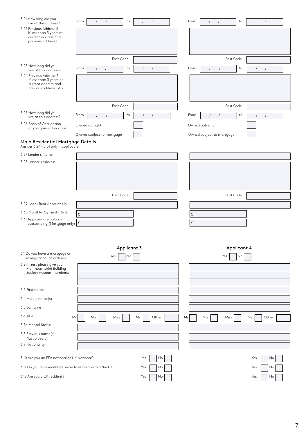| 3.21 How long did you<br>live at this address?                                                      | From<br>to<br>$\prime$<br>$\prime$<br>$\sqrt{2}$<br>$\sqrt{ }$ | From        | $\sqrt{ }$<br>$\prime$    | to<br>$\prime$<br>$\prime$   |
|-----------------------------------------------------------------------------------------------------|----------------------------------------------------------------|-------------|---------------------------|------------------------------|
| 3.22 Previous Address 2<br>If less than 3 years at<br>current address and<br>previous address 1     |                                                                |             |                           |                              |
|                                                                                                     | Post Code                                                      |             | Post Code                 |                              |
| 3.23 How long did you<br>live at this address?                                                      | From<br>to<br>$\prime$<br>$\sqrt{ }$<br>$\prime$<br>$\prime$   | From        | $\prime$<br>$\prime$      | to<br>$\sqrt{ }$<br>$\prime$ |
| 3.24 Previous Address 3<br>If less than 3 years at<br>current address and<br>previous address 1 & 2 |                                                                |             |                           |                              |
|                                                                                                     | Post Code                                                      |             | Post Code                 |                              |
| 3.25 How long did you<br>live at this address?                                                      | From<br>to<br>$\prime$<br>$\prime$<br>$\prime$<br>$\prime$     | From        | $\prime$<br>$\prime$      | to<br>$\prime$<br>$\prime$   |
| 3.26 Basis of Occupation<br>at your present address                                                 | Owned outright                                                 |             | Owned outright            |                              |
|                                                                                                     | Owned subject to mortgage                                      |             | Owned subject to mortgage |                              |
| Main Residential Mortgage Details<br>Answer 3.27 - 3.31 only if applicable                          |                                                                |             |                           |                              |
| 3.27 Lender's Name                                                                                  |                                                                |             |                           |                              |
| 3.28 Lender's Address                                                                               |                                                                |             |                           |                              |
|                                                                                                     |                                                                |             |                           |                              |
|                                                                                                     |                                                                |             |                           |                              |
|                                                                                                     | Post Code                                                      |             | Post Code                 |                              |
| 3.29 Loan/Rent Account No.                                                                          |                                                                |             |                           |                              |
| 3.30 Monthly Payment / Rent                                                                         |                                                                |             |                           |                              |
| 3.31 Approximate balance                                                                            | $\pounds$                                                      | £           |                           |                              |
| outstanding (Mortgage only)   £                                                                     |                                                                | £           |                           |                              |
|                                                                                                     |                                                                |             |                           |                              |
|                                                                                                     |                                                                |             |                           |                              |
| 3.1 Do you have a mortgage or                                                                       | Applicant 3<br>Yes<br>No                                       |             | Applicant 4<br>Yes<br>No  |                              |
| savings account with us?<br>3.2 If 'Yes', please give your                                          |                                                                |             |                           |                              |
| Monmouthshire Building<br>Society Account numbers:                                                  |                                                                |             |                           |                              |
|                                                                                                     |                                                                |             |                           |                              |
| 3.3 First name                                                                                      |                                                                |             |                           |                              |
| 3.4 Middle name(s)                                                                                  |                                                                |             |                           |                              |
| 3.5 Surname                                                                                         |                                                                |             |                           |                              |
| 3.6 Title                                                                                           | Mr<br>Mrs<br>Miss<br>Ms                                        | Other<br>Mr | Mrs<br>Miss               | Other<br>Ms                  |
| 3.7a Marital Status                                                                                 |                                                                |             |                           |                              |
| 3.8 Previous name(s)<br>(last 3 years)                                                              |                                                                |             |                           |                              |
| 3.9 Nationality                                                                                     |                                                                |             |                           |                              |
|                                                                                                     |                                                                |             |                           |                              |
| 3.10 Are you an EEA national or UK National?                                                        | Yes                                                            | No          |                           | Yes<br>No                    |
| 3.11 Do you have indefinite leave to remain within the UK                                           | Yes                                                            | No          |                           | Yes<br>No                    |
| 3.12 Are you a UK resident?                                                                         |                                                                |             |                           |                              |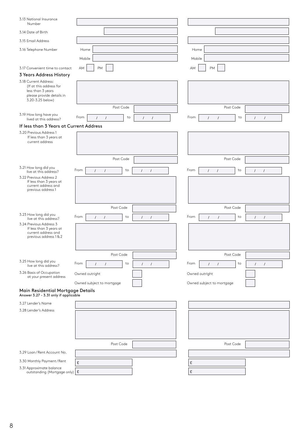| 3.13 National Insurance<br>Number                                                                                      |                                                                  |                                                                  |
|------------------------------------------------------------------------------------------------------------------------|------------------------------------------------------------------|------------------------------------------------------------------|
| 3.14 Date of Birth                                                                                                     |                                                                  |                                                                  |
| 3.15 Email Address                                                                                                     |                                                                  |                                                                  |
| 3.16 Telephone Number                                                                                                  | Home                                                             | Home                                                             |
|                                                                                                                        | Mobile                                                           | Mobile                                                           |
| 3.17 Convenient time to contact                                                                                        | AM<br><b>PM</b>                                                  | <b>PM</b><br>AM                                                  |
| 3 Years Address History                                                                                                |                                                                  |                                                                  |
| 3.18 Current Address:<br>(If at this address for<br>less than 3 years<br>please provide details in<br>3.20-3.25 below) |                                                                  |                                                                  |
|                                                                                                                        | Post Code                                                        | Post Code                                                        |
| 3.19 How long have you<br>lived at this address?                                                                       | From<br>$\sqrt{ }$<br>to<br>$\prime$<br>$\prime$<br>$\prime$     | From<br>to<br>$\prime$<br>$\prime$<br>$\prime$<br>$\sqrt{ }$     |
| If less than 3 Years at Current Address                                                                                |                                                                  |                                                                  |
| 3.20 Previous Address 1<br>If less than 3 years at<br>current address                                                  |                                                                  |                                                                  |
|                                                                                                                        | Post Code                                                        | Post Code                                                        |
| 3.21 How long did you                                                                                                  | From<br>to<br>$\sqrt{ }$<br>$\prime$<br>$\prime$<br>$\prime$     | From<br>$\sqrt{ }$<br>to<br>$\sqrt{ }$<br>$\prime$<br>$\sqrt{ }$ |
| live at this address?<br>3.22 Previous Address 2                                                                       |                                                                  |                                                                  |
| If less than 3 years at<br>current address and<br>previous address 1                                                   |                                                                  |                                                                  |
|                                                                                                                        | Post Code                                                        | Post Code                                                        |
| 3.23 How long did you<br>live at this address?                                                                         | From<br>to<br>$\prime$<br>$\sqrt{ }$<br>$\prime$<br>$\sqrt{ }$   | From<br>to<br>$\sqrt{ }$<br>$\prime$<br>$\prime$<br>$\prime$     |
| 3.24 Previous Address 3<br>If less than 3 years at<br>current address and<br>previous address 1 & 2                    |                                                                  |                                                                  |
|                                                                                                                        | Post Code                                                        | Post Code                                                        |
| 3.25 How long did you<br>live at this address?                                                                         | From<br>to<br>$\overline{1}$<br>$\prime$<br>$\prime$<br>$\prime$ | From<br>to<br>$\prime$<br>$\sqrt{ }$<br>$\sqrt{ }$<br>$\prime$   |
| 3.26 Basis of Occupation<br>at your present address                                                                    | Owned outright                                                   | Owned outright                                                   |
|                                                                                                                        | Owned subject to mortgage                                        | Owned subject to mortgage                                        |
| Main Residential Mortgage Details<br>Answer 3.27 - 3.31 only if applicable                                             |                                                                  |                                                                  |
| 3.27 Lender's Name                                                                                                     |                                                                  |                                                                  |
| 3.28 Lender's Address                                                                                                  |                                                                  |                                                                  |
|                                                                                                                        |                                                                  |                                                                  |
|                                                                                                                        |                                                                  |                                                                  |
|                                                                                                                        |                                                                  |                                                                  |
|                                                                                                                        | Post Code                                                        | Post Code                                                        |
| 3.29 Loan/Rent Account No.                                                                                             |                                                                  |                                                                  |
| 3.30 Monthly Payment / Rent                                                                                            | £                                                                | £                                                                |
| 3.31 Approximate balance<br>outstanding (Mortgage only) $\mathbf{E}$                                                   |                                                                  | £                                                                |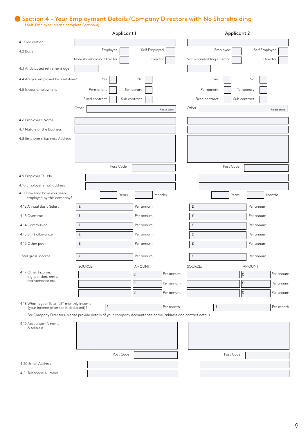# Section 4 - Your Employment Details/Company Directors with No Shareholding

(If Self-Employed, please complete Section 4)

|                                                                                    | Applicant 1                                                                                                  |                | <b>Applicant 2</b>             |              |
|------------------------------------------------------------------------------------|--------------------------------------------------------------------------------------------------------------|----------------|--------------------------------|--------------|
| 4.1 Occupation                                                                     |                                                                                                              |                |                                |              |
| 4.2 Basis                                                                          | Employee                                                                                                     | Self Employed  | Employee<br>Self Employed      |              |
|                                                                                    | Non-shareholding Director                                                                                    | Director       | Non-shareholding Director      | Director     |
| 4.3 Anticipated retirement age                                                     |                                                                                                              |                |                                |              |
| 4.4 Are you employed by a relative?                                                | Yes                                                                                                          | No             | Yes<br>No                      |              |
| 4.5 Is your employment                                                             | Permanent                                                                                                    | Temporary      | Permanent<br>Temporary         |              |
|                                                                                    | Fixed contract                                                                                               | Sub contract   | Fixed contract<br>Sub contract |              |
|                                                                                    | Other                                                                                                        | Please state   | Other                          | Please state |
| 4.6 Employer's Name                                                                |                                                                                                              |                |                                |              |
| 4.7 Nature of the Business                                                         |                                                                                                              |                |                                |              |
| 4.8 Employer's Business Address                                                    |                                                                                                              |                |                                |              |
|                                                                                    |                                                                                                              |                |                                |              |
|                                                                                    |                                                                                                              |                |                                |              |
|                                                                                    | Post Code                                                                                                    |                | Post Code                      |              |
| 4.9 Employer Tel. No.                                                              |                                                                                                              |                |                                |              |
| 4.10 Employer email address                                                        |                                                                                                              |                |                                |              |
| 4.11 How long have you been<br>employed by this company?                           | Years                                                                                                        | Months         | Years                          | Months       |
| 4.12 Annual Basic Salary                                                           | £                                                                                                            | Per annum      | £<br>Per annum                 |              |
| 4.13 Overtime                                                                      | £                                                                                                            | Per annum      | £<br>Per annum                 |              |
| 4.14 Commission                                                                    | £                                                                                                            | Per annum      | £<br>Per annum                 |              |
| 4.15 Shift allowance                                                               | £                                                                                                            | Per annum      | £<br>Per annum                 |              |
| 4.16 Other pay                                                                     | £                                                                                                            | Per annum      | £<br>Per annum                 |              |
| Total gross income                                                                 | £                                                                                                            | Per annum      | £<br>Per annum                 |              |
|                                                                                    | SOURCE:                                                                                                      | AMOUNT:        | SOURCE:<br>AMOUNT:             |              |
| 4.17 Other Income.<br>e.g. pension, rents,<br>maintenance etc.                     |                                                                                                              | £<br>Per annum | £                              | Per annum    |
|                                                                                    |                                                                                                              | £<br>Per annum | £                              | Per annum    |
|                                                                                    |                                                                                                              | £<br>Per annum | £                              | Per annum    |
| 4.18 What is your Total NET monthly income<br>(your income after tax is deducted)? | $\pounds$                                                                                                    | Per month      | £                              | Per month    |
|                                                                                    | For Company Directors, please provide details of your company Accountant's name, address and contact details |                |                                |              |
| 4.19 Accountant's name<br>& Address                                                |                                                                                                              |                |                                |              |
|                                                                                    |                                                                                                              |                |                                |              |
|                                                                                    | Post Code                                                                                                    |                | Post Code                      |              |
| 4.20 Email Address                                                                 |                                                                                                              |                |                                |              |
| 4.21 Telephone Number                                                              |                                                                                                              |                |                                |              |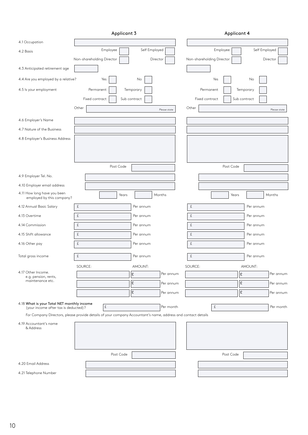|                                                                                    | Applicant 3                                                                                                  |               |              |           |                           | Applicant 4  |               |              |
|------------------------------------------------------------------------------------|--------------------------------------------------------------------------------------------------------------|---------------|--------------|-----------|---------------------------|--------------|---------------|--------------|
| 4.1 Occupation                                                                     |                                                                                                              |               |              |           |                           |              |               |              |
| 4.2 Basis                                                                          | Employee                                                                                                     | Self Employed |              |           | Employee                  |              | Self Employed |              |
|                                                                                    | Non-shareholding Director                                                                                    | Director      |              |           | Non-shareholding Director |              |               | Director     |
| 4.3 Anticipated retirement age                                                     |                                                                                                              |               |              |           |                           |              |               |              |
| 4.4 Are you employed by a relative?                                                | Yes                                                                                                          | No            |              |           | Yes                       |              | No            |              |
| 4.5 ls your employment                                                             | Permanent                                                                                                    | Temporary     |              |           | Permanent                 |              | Temporary     |              |
|                                                                                    | Fixed contract                                                                                               | Sub contract  |              |           | Fixed contract            | Sub contract |               |              |
|                                                                                    | Other                                                                                                        |               | Please state | Other     |                           |              |               | Please state |
| 4.6 Employer's Name                                                                |                                                                                                              |               |              |           |                           |              |               |              |
| 4.7 Nature of the Business                                                         |                                                                                                              |               |              |           |                           |              |               |              |
| 4.8 Employer's Business Address                                                    |                                                                                                              |               |              |           |                           |              |               |              |
|                                                                                    |                                                                                                              |               |              |           |                           |              |               |              |
|                                                                                    |                                                                                                              |               |              |           |                           |              |               |              |
|                                                                                    | Post Code                                                                                                    |               |              |           |                           | Post Code    |               |              |
| 4.9 Employer Tel. No.                                                              |                                                                                                              |               |              |           |                           |              |               |              |
| 4.10 Employer email address                                                        |                                                                                                              |               |              |           |                           |              |               |              |
| 4.11 How long have you been<br>employed by this company?                           | Years                                                                                                        |               | Months       |           |                           | Years        |               | Months       |
| 4.12 Annual Basic Salary                                                           | £                                                                                                            | Per annum     |              | $\pounds$ |                           |              | Per annum     |              |
| 4.13 Overtime                                                                      | $\pounds$                                                                                                    | Per annum     |              | $\pounds$ |                           |              | Per annum     |              |
| 4.14 Commission                                                                    | £                                                                                                            | Per annum     |              | £         |                           |              | Per annum     |              |
| 4.15 Shift allowance                                                               | £                                                                                                            | Per annum     |              | £         |                           |              | Per annum     |              |
| 4.16 Other pay                                                                     | £                                                                                                            | Per annum     |              | $\pounds$ |                           |              | Per annum     |              |
| Total gross income                                                                 | £                                                                                                            | Per annum     |              | £         |                           |              | Per annum     |              |
|                                                                                    | SOURCE:                                                                                                      | AMOUNT:       |              | SOURCE:   |                           |              | AMOUNT:       |              |
| 4.17 Other Income.<br>e.g. pension, rents,                                         |                                                                                                              | £             | Per annum    |           |                           | £            |               | Per annum    |
| maintenance etc.                                                                   |                                                                                                              | £             | Per annum    |           |                           | £            |               | Per annum    |
|                                                                                    |                                                                                                              | £             | Per annum    |           |                           | £            |               | Per annum    |
| 4.18 What is your Total NET monthly income<br>(your income after tax is deducted)? | £                                                                                                            |               | Per month    |           | £                         |              |               | Per month    |
|                                                                                    | For Company Directors, please provide details of your company Accountant's name, address and contact details |               |              |           |                           |              |               |              |
| 4.19 Accountant's name                                                             |                                                                                                              |               |              |           |                           |              |               |              |
| & Address                                                                          |                                                                                                              |               |              |           |                           |              |               |              |
|                                                                                    |                                                                                                              |               |              |           |                           |              |               |              |
|                                                                                    | Post Code                                                                                                    |               |              |           |                           | Post Code    |               |              |
| 4.20 Email Address                                                                 |                                                                                                              |               |              |           |                           |              |               |              |
|                                                                                    |                                                                                                              |               |              |           |                           |              |               |              |
| 4.21 Telephone Number                                                              |                                                                                                              |               |              |           |                           |              |               |              |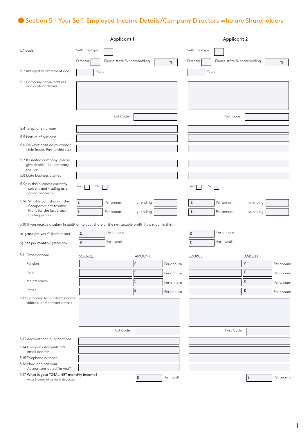# Section 5 - Your Self-Employed Income Details/Company Directors who are Shareholders

|                                                                                                         | <b>Applicant 1</b> |                               |                        |           | <b>Applicant 2</b> |                               |                        |           |
|---------------------------------------------------------------------------------------------------------|--------------------|-------------------------------|------------------------|-----------|--------------------|-------------------------------|------------------------|-----------|
| 5.1 Basis                                                                                               | Self-Employed      |                               |                        |           | Self-Employed      |                               |                        |           |
|                                                                                                         | Director           | - Please state % shareholding |                        | $\%$      | Director           | - Please state % shareholding |                        | $\%$      |
| 5.2 Anticipated retirement age                                                                          | Years              |                               |                        |           | Years              |                               |                        |           |
| 5.3 Company name, address<br>and contact details                                                        |                    |                               |                        |           |                    |                               |                        |           |
|                                                                                                         |                    | Post Code                     |                        |           |                    | Post Code                     |                        |           |
| 5.4 Telephone number                                                                                    |                    |                               |                        |           |                    |                               |                        |           |
| 5.5 Nature of business                                                                                  |                    |                               |                        |           |                    |                               |                        |           |
| 5.6 On what basis do you trade?<br>(Sole Trader, Partnership etc)                                       |                    |                               |                        |           |                    |                               |                        |           |
| 5.7 If Limited company, please<br>give details - i.e. company<br>number                                 |                    |                               |                        |           |                    |                               |                        |           |
| 5.8 Date business started                                                                               |                    |                               |                        |           |                    |                               |                        |           |
| 5.9a Is this business currently<br>solvent and trading as a<br>going concern?                           | Yes<br>No          |                               |                        |           | Yes<br>No          |                               |                        |           |
| 5.9b What is your share of the<br>Company's net taxable<br>Profit for the last 2 tax/<br>trading years? | £<br>£             | Per annum<br>Per annum        | yr ending<br>yr ending |           | £<br>£             | Per annum<br>Per annum        | yr ending<br>yr ending |           |
| 5.10 If you receive a salary in addition to your share of the net taxable profit, how much is this:     |                    |                               |                        |           |                    |                               |                        |           |
| a) gross per year? (before tax)                                                                         | l£                 | Per annum                     |                        |           | £                  | Per annum                     |                        |           |
| b) net per month? (after tax)                                                                           | l£                 | Per month                     |                        |           | £                  | Per month                     |                        |           |
| 5.11 Other income                                                                                       | SOURCE:            |                               | AMOUNT:                |           | SOURCE:            |                               | AMOUNT:                |           |
| Pension                                                                                                 |                    |                               | £                      | Per annum |                    |                               | £                      | Per annum |
| Rent                                                                                                    |                    |                               | £                      | Per annum |                    |                               | £                      | Per annum |
| Maintenance                                                                                             |                    |                               | £                      | Per annum |                    |                               | £                      | Per annum |
| Other                                                                                                   |                    |                               | £                      | Per annum |                    |                               | £                      | Per annum |
| 5.12 Company Accountant's name,<br>address and contact details                                          |                    |                               |                        |           |                    |                               |                        |           |
|                                                                                                         |                    | Post Code                     |                        |           |                    | Post Code                     |                        |           |
| 5.13 Accountant's qualifications                                                                        |                    |                               |                        |           |                    |                               |                        |           |
| 5.14 Company Accountant's<br>email address                                                              |                    |                               |                        |           |                    |                               |                        |           |
| 5.15 Telephone number                                                                                   |                    |                               |                        |           |                    |                               |                        |           |
| 5.16 How long has your<br>Accountant acted for you?                                                     |                    |                               |                        |           |                    |                               |                        |           |
| 5.17 What is your TOTAL NET monthly income?<br>(your income after tax is deducted)                      |                    |                               | $\pmb{\mathfrak{L}}$   | Per month |                    |                               | £                      | Per month |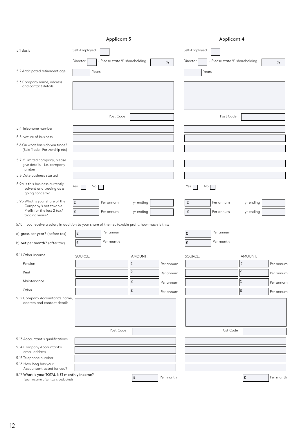|                                                                                                         |                     | Applicant 3                   |                        |           | <b>Applicant 4</b> |                               |                        |           |
|---------------------------------------------------------------------------------------------------------|---------------------|-------------------------------|------------------------|-----------|--------------------|-------------------------------|------------------------|-----------|
| 5.1 Basis                                                                                               | Self-Employed       |                               |                        |           | Self-Employed      |                               |                        |           |
|                                                                                                         | Director            | - Please state % shareholding |                        | $\%$      | Director           | - Please state % shareholding |                        | $\%$      |
| 5.2 Anticipated retirement age                                                                          | Years               |                               |                        |           | Years              |                               |                        |           |
| 5.3 Company name, address<br>and contact details                                                        |                     |                               |                        |           |                    |                               |                        |           |
|                                                                                                         |                     | Post Code                     |                        |           |                    | Post Code                     |                        |           |
| 5.4 Telephone number                                                                                    |                     |                               |                        |           |                    |                               |                        |           |
| 5.5 Nature of business                                                                                  |                     |                               |                        |           |                    |                               |                        |           |
| 5.6 On what basis do you trade?<br>(Sole Trader, Partnership etc)                                       |                     |                               |                        |           |                    |                               |                        |           |
| 5.7 If Limited company, please<br>give details - i.e. company<br>number                                 |                     |                               |                        |           |                    |                               |                        |           |
| 5.8 Date business started                                                                               |                     |                               |                        |           |                    |                               |                        |           |
| 5.9a Is this business currently<br>solvent and trading as a<br>going concern?                           | Yes<br>No           |                               |                        |           | Yes<br>No          |                               |                        |           |
| 5.9b What is your share of the<br>Company's net taxable<br>Profit for the last 2 tax/<br>trading years? | £<br>$\hat{\Sigma}$ | Per annum<br>Per annum        | yr ending<br>yr ending |           | £<br>$\pounds$     | Per annum<br>Per annum        | yr ending<br>yr ending |           |
| 5.10 If you receive a salary in addition to your share of the net taxable profit, how much is this:     |                     |                               |                        |           |                    |                               |                        |           |
| a) gross per year? (before tax)                                                                         | £                   | Per annum                     |                        |           | £                  | Per annum                     |                        |           |
| b) net per month? (after tax)                                                                           | £                   | Per month                     |                        |           | £                  | Per month                     |                        |           |
| 5.11 Other income                                                                                       | SOURCE:             |                               | AMOUNT:                |           | SOURCE:            |                               | AMOUNT:                |           |
| Pension                                                                                                 |                     |                               | ١£                     | Per annum |                    |                               | £                      | Per annum |
| Rent                                                                                                    |                     |                               | £                      | Per annum |                    |                               | £                      | Per annum |
| Maintenance                                                                                             |                     |                               | £                      | Per annum |                    |                               | l£                     | Per annum |
| Other                                                                                                   |                     |                               | £                      | Per annum |                    |                               | l£                     | Per annum |
| 5.12 Company Accountant's name,<br>address and contact details                                          |                     |                               |                        |           |                    |                               |                        |           |
|                                                                                                         |                     | Post Code                     |                        |           |                    | Post Code                     |                        |           |
| 5.13 Accountant's qualifications                                                                        |                     |                               |                        |           |                    |                               |                        |           |
| 5.14 Company Accountant's<br>email address                                                              |                     |                               |                        |           |                    |                               |                        |           |
| 5.15 Telephone number                                                                                   |                     |                               |                        |           |                    |                               |                        |           |
| 5.16 How long has your<br>Accountant acted for you?                                                     |                     |                               |                        |           |                    |                               |                        |           |
| 5.17 What is your TOTAL NET monthly income?<br>(your income after tax is deducted)                      |                     |                               | £                      | Per month |                    |                               | £                      | Per month |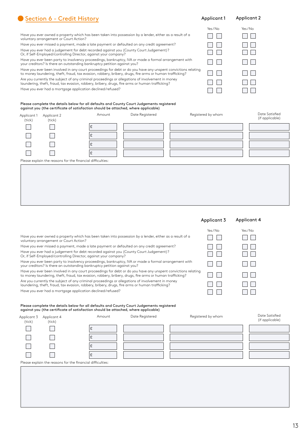# Have you ever owned a property which has been taken into possession by a lender, either as a result of a

Section 6 - Credit History

voluntary arrangement or Court Action? Have you ever missed a payment, made a late payment or defaulted on any credit agreement?

Have you ever had a judgement for debt recorded against you (County Court Judgement)? Or, if Self-Employed/controlling Director, against your company?

Have you ever been party to insolvency proceedings, bankruptcy, IVA or made a formal arrangement with your creditors? Is there an outstanding bankruptcy petition against you?

Have you ever been involved in any court proceedings for debt or do you have any unspent convictions relating to money laundering, theft, fraud, tax evasion, robbery, bribery, drugs, fire arms or human trafficking? Are you currently the subject of any criminal proceedings or allegations of involvement in money laundering, theft, fraud, tax evasion, robbery, bribery, drugs, fire arms or human tr Have you ever had a mortgage application declined/refused?

#### Please complete the details below for all defaults and County Court Judgements against you (the certificate of satisfaction should be attached, where applicable)

|                       |        | .                                                          |                    |                                   |
|-----------------------|--------|------------------------------------------------------------|--------------------|-----------------------------------|
| Applicant 2<br>(tick) | Amount | Date Registered                                            | Registered by whom | Date Satisfied<br>(if applicable) |
|                       | £      |                                                            |                    |                                   |
|                       | £      |                                                            |                    |                                   |
|                       | ç.     |                                                            |                    |                                   |
|                       | t      |                                                            |                    |                                   |
|                       |        |                                                            |                    |                                   |
|                       |        |                                                            |                    |                                   |
|                       |        |                                                            |                    |                                   |
|                       |        |                                                            |                    |                                   |
|                       |        | Please explain the reasons for the financial difficulties: |                    |                                   |

|                                                                                                                                                                                                                           |                 | Yes/No                | Yes/ $No$        |
|---------------------------------------------------------------------------------------------------------------------------------------------------------------------------------------------------------------------------|-----------------|-----------------------|------------------|
| Have you ever owned a property which has been taken into possession by a lender, either as a result of a<br>voluntary arrangement or Court Action?                                                                        |                 |                       |                  |
| Have you ever missed a payment, made a late payment or defaulted on any credit agreement?                                                                                                                                 |                 |                       |                  |
| Have you ever had a judgement for debt recorded against you (County Court Judgement)?<br>Or, if Self-Employed/controlling Director, against your company?                                                                 |                 |                       | $\mathbf{L}$     |
| Have you ever been party to insolvency proceedings, bankruptcy, IVA or made a formal arrangement with<br>your creditors? Is there an outstanding bankruptcy petition against you?                                         |                 |                       | and the property |
| Have you ever been involved in any court proceedings for debt or do you have any unspent convictions relating<br>to money laundering, theft, fraud, tax evasion, robbery, bribery, drugs, fire arms or human trafficking? |                 |                       | $\mathbf{L}$     |
| Are you currently the subject of any criminal proceedings or allegations of involvement in money<br>laundering, theft, fraud, tax evasion, robbery, bribery, drugs, fire arms or human trafficking?                       |                 |                       |                  |
| Have you ever had a mortgage application declined/refused?                                                                                                                                                                |                 |                       |                  |
| Please complete the details below for all defaults and County Court Judgements registered<br>against you (the certificate of satisfaction should be attached, where applicable)                                           |                 |                       |                  |
| $\Lambda$ as $\sim$ $\sim$ $+$                                                                                                                                                                                            | Data Danistanad | Desistanced burnlesse | Date Satisfied   |

| Applicant 3<br>(tick) | Applicant 4<br>(tick) | Amount                                                     | Date Registered | Registered by whom | Date Satisfied<br>(if applicable) |
|-----------------------|-----------------------|------------------------------------------------------------|-----------------|--------------------|-----------------------------------|
|                       |                       |                                                            |                 |                    |                                   |
|                       |                       |                                                            |                 |                    |                                   |
|                       |                       |                                                            |                 |                    |                                   |
|                       |                       |                                                            |                 |                    |                                   |
|                       |                       | Please explain the reasons for the financial difficulties: |                 |                    |                                   |

#### Yes / No Yes / No  $\Box$   $\Box$  $\Box$   $\Box$  $\Box$   $\Box$  $\Box$   $\Box$  $\Box$  $\Box$   $\Box$

| $\Box$        | $\Box$        |
|---------------|---------------|
| $\Box$        | $\Box$ $\Box$ |
| $\Box$ $\Box$ | $\Box$ $\Box$ |
| $\Box$        | $\Box$        |

| :ratticking?   |  |
|----------------|--|
|                |  |
|                |  |
|                |  |
|                |  |
| nts registered |  |

#### $\Box$  $\Box$   $\Box$

Applicant 3 Applicant 4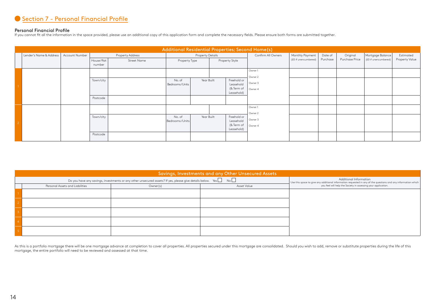### Section 7 - Personal Financial Profile

**Personal Financial Profile**<br>If you cannot fit all the information in the space provided, please use an additional copy of this application form and complete the necessary fields. Please ensure both forms are submitted tog

|                         |                |                      |                    |                          |                         |                                                      | Additional Residential Properties; Second Home(s) |                      |          |                |                      |                |
|-------------------------|----------------|----------------------|--------------------|--------------------------|-------------------------|------------------------------------------------------|---------------------------------------------------|----------------------|----------|----------------|----------------------|----------------|
| Lender's Name & Address | Account Number |                      | Property Address   |                          | <b>Property Details</b> |                                                      | Confirm All Owners                                | Monthly Payment      | Date of  | Original       | Mortgage Balance     | Estimated      |
|                         |                | House/flat<br>number | <b>Street Name</b> | Property Type            |                         | Property Style                                       |                                                   | (£0 if unencumbered) | Purchase | Purchase Price | (£0 if unencumbered) | Property Value |
|                         |                |                      |                    |                          |                         |                                                      | Owner 1<br>Owner 2                                |                      |          |                |                      |                |
|                         |                | Town/city            |                    | No. of<br>Bedrooms/Units | Year Built              | Freehold or<br>Leasehold<br>(& Term of<br>Leasehold) | Owner 3<br>Owner 4                                |                      |          |                |                      |                |
|                         |                | Postcode             |                    |                          |                         |                                                      |                                                   |                      |          |                |                      |                |
|                         |                |                      |                    |                          |                         |                                                      | Owner 1<br>Owner 2                                |                      |          |                |                      |                |
|                         |                | Town/city            |                    | No. of<br>Bedrooms/Units | Year Built              | Freehold or<br>Leasehold<br>(& Term of<br>Leasehold) | Owner 3<br>Owner 4                                |                      |          |                |                      |                |
|                         |                | Postcode             |                    |                          |                         |                                                      |                                                   |                      |          |                |                      |                |

|                                                                                                                             |                                                                                                                                         | Savings, Investments and any Other Unsecured Assets |                                                               |
|-----------------------------------------------------------------------------------------------------------------------------|-----------------------------------------------------------------------------------------------------------------------------------------|-----------------------------------------------------|---------------------------------------------------------------|
| Do you have any savings, investments or any other unsecured assets? If yes, please give details below. Yes $\Box$ No $\Box$ | Additional Information<br>Use this space to give any additional information requested in any of the questions and any information which |                                                     |                                                               |
| Personal Assets and Liabilities                                                                                             | Owner(s)                                                                                                                                | Asset Value                                         | you feel will help the Society in assessing your application. |
|                                                                                                                             |                                                                                                                                         |                                                     |                                                               |
|                                                                                                                             |                                                                                                                                         |                                                     |                                                               |
|                                                                                                                             |                                                                                                                                         |                                                     |                                                               |
|                                                                                                                             |                                                                                                                                         |                                                     |                                                               |
|                                                                                                                             |                                                                                                                                         |                                                     |                                                               |

As this is a portfolio mortgage there will be one mortgage advance at completion to cover all properties. All properties secured under this mortgage are consolidated. Should you wish to add, remove or substitute properties mortgage, the entire portfolio will need to be reviewed and assessed at that time.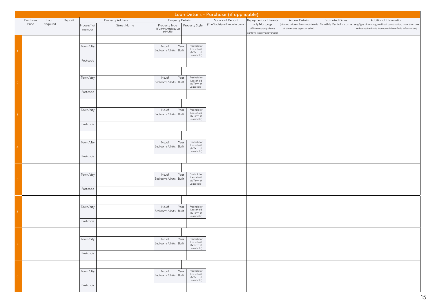|                |          |          |         |            |                         |                                                   |      |                          | Loan Details - Purchase (if applicable) |                                                        |                                                           |                        |                                                             |  |
|----------------|----------|----------|---------|------------|-------------------------|---------------------------------------------------|------|--------------------------|-----------------------------------------|--------------------------------------------------------|-----------------------------------------------------------|------------------------|-------------------------------------------------------------|--|
|                | Purchase | Loan     | Deposit |            | <b>Property Address</b> | <b>Property Details</b>                           |      |                          | Source of Deposit                       | Repayment or Interest-                                 | Access Details                                            | <b>Estimated Gross</b> | Additional Information                                      |  |
|                | Price    | Required |         | House/flat | Street Name             |                                                   |      | Property Style           | (The Society will require proof)        | only Mortgage                                          | (Names, address & contact details   Monthly Rental Income |                        | (e.g Type of tenancy, wall/roof construction, more than one |  |
|                |          |          |         | number     |                         | Property Type<br>(BTL/HMO/Holiday Let<br>or MUFB) |      |                          |                                         | (if Interest-only please<br>confirm repayment vehicle) | of the estate agent or seller)                            |                        | self-contained unit, incentives & New Build information)    |  |
|                |          |          |         |            |                         |                                                   |      |                          |                                         |                                                        |                                                           |                        |                                                             |  |
|                |          |          |         |            |                         |                                                   |      |                          |                                         |                                                        |                                                           |                        |                                                             |  |
|                |          |          |         | Town/city  |                         | No. of                                            | Year | Freehold or<br>Leasehold |                                         |                                                        |                                                           |                        |                                                             |  |
|                |          |          |         |            |                         | Bedrooms/Units Built                              |      | (& Term of<br>Leasehold) |                                         |                                                        |                                                           |                        |                                                             |  |
|                |          |          |         | Postcode   |                         |                                                   |      |                          |                                         |                                                        |                                                           |                        |                                                             |  |
|                |          |          |         |            |                         |                                                   |      |                          |                                         |                                                        |                                                           |                        |                                                             |  |
|                |          |          |         |            |                         |                                                   |      |                          |                                         |                                                        |                                                           |                        |                                                             |  |
|                |          |          |         | Town/city  |                         | No. of                                            | Year | Freehold or              |                                         |                                                        |                                                           |                        |                                                             |  |
|                |          |          |         |            |                         | Bedrooms/Units Built                              |      | Leasehold                |                                         |                                                        |                                                           |                        |                                                             |  |
|                |          |          |         |            |                         |                                                   |      | (& Term of<br>Leasehold) |                                         |                                                        |                                                           |                        |                                                             |  |
|                |          |          |         | Postcode   |                         |                                                   |      |                          |                                         |                                                        |                                                           |                        |                                                             |  |
|                |          |          |         |            |                         |                                                   |      |                          |                                         |                                                        |                                                           |                        |                                                             |  |
|                |          |          |         |            |                         |                                                   |      |                          |                                         |                                                        |                                                           |                        |                                                             |  |
|                |          |          |         | Town/city  |                         | No. of                                            | Year | Freehold or              |                                         |                                                        |                                                           |                        |                                                             |  |
| 3.             |          |          |         |            |                         | Bedrooms/Units Built                              |      | Leasehold<br>(& Term of  |                                         |                                                        |                                                           |                        |                                                             |  |
|                |          |          |         |            |                         |                                                   |      | Leasehold)               |                                         |                                                        |                                                           |                        |                                                             |  |
|                |          |          |         | Postcode   |                         |                                                   |      |                          |                                         |                                                        |                                                           |                        |                                                             |  |
|                |          |          |         |            |                         |                                                   |      |                          |                                         |                                                        |                                                           |                        |                                                             |  |
|                |          |          |         |            |                         |                                                   |      |                          |                                         |                                                        |                                                           |                        |                                                             |  |
|                |          |          |         | Town/city  |                         | No. of                                            | Year | Freehold or<br>Leasehold |                                         |                                                        |                                                           |                        |                                                             |  |
| $\overline{4}$ |          |          |         |            |                         | Bedrooms/Units Built                              |      | (& Term of               |                                         |                                                        |                                                           |                        |                                                             |  |
|                |          |          |         | Postcode   |                         |                                                   |      | Leasehold)               |                                         |                                                        |                                                           |                        |                                                             |  |
|                |          |          |         |            |                         |                                                   |      |                          |                                         |                                                        |                                                           |                        |                                                             |  |
|                |          |          |         |            |                         |                                                   |      |                          |                                         |                                                        |                                                           |                        |                                                             |  |
|                |          |          |         |            |                         |                                                   |      |                          |                                         |                                                        |                                                           |                        |                                                             |  |
|                |          |          |         | Town/city  |                         | No. of<br>Bedrooms/Units Built                    | Year | Freehold or<br>Leasehold |                                         |                                                        |                                                           |                        |                                                             |  |
|                |          |          |         |            |                         |                                                   |      | (& Term of<br>Leasehold) |                                         |                                                        |                                                           |                        |                                                             |  |
|                |          |          |         | Postcode   |                         |                                                   |      |                          |                                         |                                                        |                                                           |                        |                                                             |  |
|                |          |          |         |            |                         |                                                   |      |                          |                                         |                                                        |                                                           |                        |                                                             |  |
|                |          |          |         |            |                         |                                                   |      |                          |                                         |                                                        |                                                           |                        |                                                             |  |
|                |          |          |         | Town/city  |                         | No. of                                            | Year | Freehold or              |                                         |                                                        |                                                           |                        |                                                             |  |
|                |          |          |         |            |                         | Bedrooms/Units Built                              |      | Leasehold<br>(& Term of  |                                         |                                                        |                                                           |                        |                                                             |  |
|                |          |          |         |            |                         |                                                   |      | Leasehold)               |                                         |                                                        |                                                           |                        |                                                             |  |
|                |          |          |         | Postcode   |                         |                                                   |      |                          |                                         |                                                        |                                                           |                        |                                                             |  |
|                |          |          |         |            |                         |                                                   |      |                          |                                         |                                                        |                                                           |                        |                                                             |  |
|                |          |          |         |            |                         |                                                   |      |                          |                                         |                                                        |                                                           |                        |                                                             |  |
|                |          |          |         | Town/city  |                         | No. of                                            | Year | Freehold or<br>Leasehold |                                         |                                                        |                                                           |                        |                                                             |  |
|                |          |          |         |            |                         | Bedrooms/Units  Built                             |      | (& Term of               |                                         |                                                        |                                                           |                        |                                                             |  |
|                |          |          |         |            |                         |                                                   |      | Leasehold)               |                                         |                                                        |                                                           |                        |                                                             |  |
|                |          |          |         | Postcode   |                         |                                                   |      |                          |                                         |                                                        |                                                           |                        |                                                             |  |
|                |          |          |         |            |                         |                                                   |      |                          |                                         |                                                        |                                                           |                        |                                                             |  |
|                |          |          |         |            |                         |                                                   |      |                          |                                         |                                                        |                                                           |                        |                                                             |  |
|                |          |          |         | Town/city  |                         | No. of<br>Bedrooms/Units Built                    | Year | Freehold or<br>Leasehold |                                         |                                                        |                                                           |                        |                                                             |  |
| 8              |          |          |         |            |                         |                                                   |      | (& Term of<br>Leasehold) |                                         |                                                        |                                                           |                        |                                                             |  |
|                |          |          |         | Postcode   |                         |                                                   |      |                          |                                         |                                                        |                                                           |                        |                                                             |  |
|                |          |          |         |            |                         |                                                   |      |                          |                                         |                                                        |                                                           |                        |                                                             |  |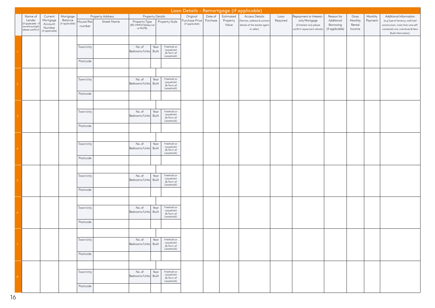|                 | Loan Details - Remortgage (if applicable)                                  |                                                             |                                        |                       |                                 |                                                   |                  |                                                      |                                               |                     |                                |                                                                                         |                  |                                                                                                   |                                                          |                                      |                    |                                                                                                                                    |
|-----------------|----------------------------------------------------------------------------|-------------------------------------------------------------|----------------------------------------|-----------------------|---------------------------------|---------------------------------------------------|------------------|------------------------------------------------------|-----------------------------------------------|---------------------|--------------------------------|-----------------------------------------------------------------------------------------|------------------|---------------------------------------------------------------------------------------------------|----------------------------------------------------------|--------------------------------------|--------------------|------------------------------------------------------------------------------------------------------------------------------------|
|                 | Name of<br>Lender<br>(if applicable -<br>owned outright<br>please confirm) | Current<br>Mortgage<br>Account<br>Number<br>(if applicable) | Mortgage<br>Balance<br>(if applicable) | House/flat<br>number  | Property Address<br>Street Name | Property Type<br>(BTL/HMO/Holiday Let<br>or MUFB) | Property Details | Property Style                                       | Original<br>Purchase Price<br>(if applicable) | Date of<br>Purchase | Estimated<br>Property<br>Value | Access Details<br>Names, address & contact<br>details of the estate agent<br>or seller) | Loan<br>Required | Repayment or Interest-<br>only Mortgage<br>(if Interest-only please<br>confirm repayment vehicle) | Reason for<br>Additional<br>Borrowing<br>(if applicable) | Gross<br>Monthly<br>Rental<br>Income | Monthly<br>Payment | Additional Information<br>(e.g Type of tenancy, wall/roof<br>construction, more than one self-<br>contained unit, incentives & New |
|                 |                                                                            |                                                             |                                        | Town/city<br>Postcode |                                 | No. of<br>Bedrooms/Units Built                    | Year             | Freehold or<br>Leasehold<br>(& Term of<br>Leasehold) |                                               |                     |                                |                                                                                         |                  |                                                                                                   |                                                          |                                      |                    | <b>Build information)</b>                                                                                                          |
| 2 <sup>7</sup>  |                                                                            |                                                             |                                        | Town/city<br>Postcode |                                 | No. of<br>Bedrooms/Units Built                    | Year             | Freehold or<br>Leasehold<br>(& Term of<br>Leasehold) |                                               |                     |                                |                                                                                         |                  |                                                                                                   |                                                          |                                      |                    |                                                                                                                                    |
| 3 <sup>7</sup>  |                                                                            |                                                             |                                        | Town/city<br>Postcode |                                 | No. of<br>Bedrooms/Units Built                    | Year             | Freehold or<br>Leasehold<br>(& Term of<br>Leasehold) |                                               |                     |                                |                                                                                         |                  |                                                                                                   |                                                          |                                      |                    |                                                                                                                                    |
| 4 <sup>1</sup>  |                                                                            |                                                             |                                        | Town/city<br>Postcode |                                 | No. of<br>Bedrooms/Units Built                    | Year             | Freehold or<br>Leasehold<br>(& Term of<br>Leasehold) |                                               |                     |                                |                                                                                         |                  |                                                                                                   |                                                          |                                      |                    |                                                                                                                                    |
| 5 <sub>1</sub>  |                                                                            |                                                             |                                        | Town/city<br>Postcode |                                 | No. of<br>Bedrooms/Units Built                    | Year             | Freehold or<br>Leasehold<br>(& Term of<br>Leasehold) |                                               |                     |                                |                                                                                         |                  |                                                                                                   |                                                          |                                      |                    |                                                                                                                                    |
| 6 <sub>1</sub>  |                                                                            |                                                             |                                        | Town/city<br>Postcode |                                 | No. of<br>Bedrooms/Units Built                    | Year             | Freehold or<br>Leasehold<br>(& Term of<br>Leasehold) |                                               |                     |                                |                                                                                         |                  |                                                                                                   |                                                          |                                      |                    |                                                                                                                                    |
| $\mathcal T$    |                                                                            |                                                             |                                        | Town/city<br>Postcode |                                 | No. of Year Freehold or<br>Bedrooms/Units Built   |                  | Leasehold<br>(& Term of<br>Leasehold)                |                                               |                     |                                |                                                                                         |                  |                                                                                                   |                                                          |                                      |                    |                                                                                                                                    |
| $\vert 8 \vert$ |                                                                            |                                                             |                                        | Town/city<br>Postcode |                                 | No. of<br>Bedrooms/Units Built                    | Year             | Freehold or<br>Leasehold<br>(& Term of<br>Leasehold) |                                               |                     |                                |                                                                                         |                  |                                                                                                   |                                                          |                                      |                    |                                                                                                                                    |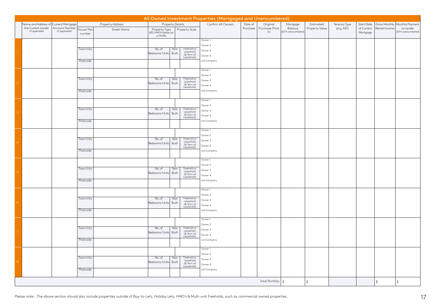|                   |                                       |                                   |                      |                  |                                                   |                                   | All Owned Investment Properties (Mortgaged and Unencumbered) |          |                       |                                 |                |              |                        |               |                                   |
|-------------------|---------------------------------------|-----------------------------------|----------------------|------------------|---------------------------------------------------|-----------------------------------|--------------------------------------------------------------|----------|-----------------------|---------------------------------|----------------|--------------|------------------------|---------------|-----------------------------------|
|                   | Name and Address of Current Mortgage  |                                   |                      | Property Address | <b>Property Details</b>                           |                                   | Confirm All Owners                                           | Date of  | Original              | Mortgage                        | Estimated      | Tenancy Type | Start Date             |               | Gross Monthly Monthly Payment     |
|                   | the Current Lender<br>(if applicable) | Account Number<br>(if applicable) | House/flat<br>number | Street Name      | Property Type<br>(BTL/HMO/Holiday Let<br>or MUFB) | Property Style                    |                                                              | Purchase | Purchase Price<br>(E) | Balance<br>(£0 if unencumbered) | Property Value | (e.g. AST)   | of Current<br>Mortgage | Rental Income | to Lender<br>(£0 if unencumbered) |
|                   |                                       |                                   |                      |                  |                                                   |                                   |                                                              |          |                       |                                 |                |              |                        |               |                                   |
|                   |                                       |                                   |                      |                  |                                                   |                                   | Owner 1                                                      |          |                       |                                 |                |              |                        |               |                                   |
|                   |                                       |                                   | Town/city            |                  | No. of                                            | Freehold or<br>Year               | Owner 2                                                      |          |                       |                                 |                |              |                        |               |                                   |
|                   |                                       |                                   |                      |                  | Bedrooms/Units                                    | Leasehold<br>Built<br>(& Term of  | Owner 3                                                      |          |                       |                                 |                |              |                        |               |                                   |
|                   |                                       |                                   |                      |                  |                                                   | Leasehold)                        | Owner 4                                                      |          |                       |                                 |                |              |                        |               |                                   |
|                   |                                       |                                   | Postcode             |                  |                                                   |                                   | Ltd Company                                                  |          |                       |                                 |                |              |                        |               |                                   |
|                   |                                       |                                   |                      |                  |                                                   |                                   | Owner 1                                                      |          |                       |                                 |                |              |                        |               |                                   |
|                   |                                       |                                   |                      |                  |                                                   |                                   | Owner 2                                                      |          |                       |                                 |                |              |                        |               |                                   |
|                   |                                       |                                   | Town/city            |                  | No. of                                            | Freehold or<br>Year               | Owner 3                                                      |          |                       |                                 |                |              |                        |               |                                   |
| $\overline{2}$    |                                       |                                   |                      |                  | Bedrooms/Units Built                              | Leasehold<br>(& Term of           | Owner 4                                                      |          |                       |                                 |                |              |                        |               |                                   |
|                   |                                       |                                   |                      |                  |                                                   | Leasehold)                        |                                                              |          |                       |                                 |                |              |                        |               |                                   |
|                   |                                       |                                   | Postcode             |                  |                                                   |                                   | Ltd Company                                                  |          |                       |                                 |                |              |                        |               |                                   |
|                   |                                       |                                   |                      |                  |                                                   |                                   | Owner 1                                                      |          |                       |                                 |                |              |                        |               |                                   |
|                   |                                       |                                   |                      |                  |                                                   |                                   | Owner 2                                                      |          |                       |                                 |                |              |                        |               |                                   |
|                   |                                       |                                   | Town/city            |                  | No. of                                            | Freehold or<br>Year<br>Leasehold  | Owner 3                                                      |          |                       |                                 |                |              |                        |               |                                   |
| $\overline{3}$    |                                       |                                   |                      |                  | Bedrooms/Units                                    | Built<br>(& Term of               | Owner 4                                                      |          |                       |                                 |                |              |                        |               |                                   |
|                   |                                       |                                   | Postcode             |                  |                                                   | Leasehold)                        | Ltd Company                                                  |          |                       |                                 |                |              |                        |               |                                   |
|                   |                                       |                                   |                      |                  |                                                   |                                   |                                                              |          |                       |                                 |                |              |                        |               |                                   |
|                   |                                       |                                   |                      |                  |                                                   |                                   | Owner 1                                                      |          |                       |                                 |                |              |                        |               |                                   |
|                   |                                       |                                   |                      |                  |                                                   |                                   | Owner 2                                                      |          |                       |                                 |                |              |                        |               |                                   |
|                   |                                       |                                   | Town/city            |                  | No. of<br>Built<br>Bedrooms/Units                 | Freehold or<br>Year<br>Leasehold  | Owner 3                                                      |          |                       |                                 |                |              |                        |               |                                   |
|                   |                                       |                                   |                      |                  |                                                   | (& Term of<br>Leasehold)          | Owner 4                                                      |          |                       |                                 |                |              |                        |               |                                   |
|                   |                                       |                                   | Postcode             |                  |                                                   |                                   | Ltd Company                                                  |          |                       |                                 |                |              |                        |               |                                   |
|                   |                                       |                                   |                      |                  |                                                   |                                   | Owner 1                                                      |          |                       |                                 |                |              |                        |               |                                   |
|                   |                                       |                                   |                      |                  |                                                   |                                   | Owner 2                                                      |          |                       |                                 |                |              |                        |               |                                   |
|                   |                                       |                                   | Town/city            |                  | No. of                                            | Freehold or<br>Year               | Owner 3                                                      |          |                       |                                 |                |              |                        |               |                                   |
| 5 <sup>°</sup>    |                                       |                                   |                      |                  | Bedrooms/Units                                    | Leasehold<br>Built<br>(& Term of  | Owner 4                                                      |          |                       |                                 |                |              |                        |               |                                   |
|                   |                                       |                                   | Postcode             |                  |                                                   | Leasehold)                        | Ltd Company                                                  |          |                       |                                 |                |              |                        |               |                                   |
|                   |                                       |                                   |                      |                  |                                                   |                                   |                                                              |          |                       |                                 |                |              |                        |               |                                   |
|                   |                                       |                                   |                      |                  |                                                   |                                   | Owner 1                                                      |          |                       |                                 |                |              |                        |               |                                   |
|                   |                                       |                                   |                      |                  |                                                   |                                   | Owner 2                                                      |          |                       |                                 |                |              |                        |               |                                   |
| $\ddot{\circ}$    |                                       |                                   | Town/city            |                  | No. of                                            | Freehold or<br>Year<br>Leasehold  | Owner 3                                                      |          |                       |                                 |                |              |                        |               |                                   |
|                   |                                       |                                   |                      |                  | Bedrooms/Units                                    | Built<br>(& Term of<br>Leasehold) | Owner 4                                                      |          |                       |                                 |                |              |                        |               |                                   |
|                   |                                       |                                   | Postcode             |                  |                                                   |                                   | Ltd Company                                                  |          |                       |                                 |                |              |                        |               |                                   |
|                   |                                       |                                   |                      |                  |                                                   |                                   |                                                              |          |                       |                                 |                |              |                        |               |                                   |
|                   |                                       |                                   |                      |                  |                                                   |                                   | Owner 1                                                      |          |                       |                                 |                |              |                        |               |                                   |
|                   |                                       |                                   | Town/city            |                  | No. of                                            | Freehold or<br>Year               | Owner 2                                                      |          |                       |                                 |                |              |                        |               |                                   |
|                   |                                       |                                   |                      |                  | Bedrooms/Units                                    | Leasehold<br>Built<br>(& Term of  | Owner 3                                                      |          |                       |                                 |                |              |                        |               |                                   |
|                   |                                       |                                   |                      |                  |                                                   | Leasehold)                        | Owner 4                                                      |          |                       |                                 |                |              |                        |               |                                   |
|                   |                                       |                                   | Postcode             |                  |                                                   |                                   | Ltd Company                                                  |          |                       |                                 |                |              |                        |               |                                   |
|                   |                                       |                                   |                      |                  |                                                   |                                   | Owner 1                                                      |          |                       |                                 |                |              |                        |               |                                   |
|                   |                                       |                                   |                      |                  |                                                   |                                   | Owner 2                                                      |          |                       |                                 |                |              |                        |               |                                   |
|                   |                                       |                                   | Town/city            |                  | No. of                                            | Freehold or<br>Year<br>Leasehold  | Owner 3                                                      |          |                       |                                 |                |              |                        |               |                                   |
| $\vert 8 \rangle$ |                                       |                                   |                      |                  | Bedrooms/Units Built                              | (& Term of                        | Owner 4                                                      |          |                       |                                 |                |              |                        |               |                                   |
|                   |                                       |                                   | Postcode             |                  |                                                   | Leasehold)                        | Ltd Company                                                  |          |                       |                                 |                |              |                        |               |                                   |
|                   |                                       |                                   |                      |                  |                                                   |                                   |                                                              |          |                       |                                 |                |              |                        |               |                                   |
|                   |                                       |                                   |                      |                  |                                                   |                                   |                                                              |          | Total Portfolio   £   |                                 | Ι£             |              |                        | £             | £                                 |
|                   |                                       |                                   |                      |                  |                                                   |                                   |                                                              |          |                       |                                 |                |              |                        |               |                                   |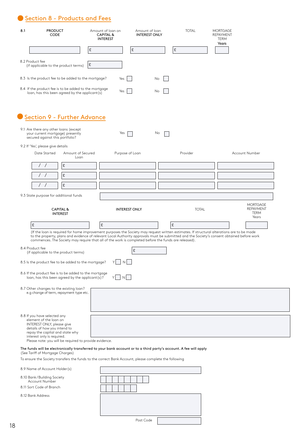Section 8 - Products and Fees

| 8.1             | <b>PRODUCT</b><br><b>CODE</b>                                                                                                                                                                                                                      | Amount of loan on<br><b>CAPITAL &amp;</b><br><b>INTEREST</b> | Amount of loan<br><b>INTEREST ONLY</b> | <b>TOTAL</b> | <b>MORTGAGE</b><br>REPAYMENT<br>TERM<br>Years                                                                                              |
|-----------------|----------------------------------------------------------------------------------------------------------------------------------------------------------------------------------------------------------------------------------------------------|--------------------------------------------------------------|----------------------------------------|--------------|--------------------------------------------------------------------------------------------------------------------------------------------|
|                 |                                                                                                                                                                                                                                                    | £                                                            | £                                      | £            |                                                                                                                                            |
| 8.2 Product fee | (if applicable to the product terms)                                                                                                                                                                                                               | £                                                            |                                        |              |                                                                                                                                            |
|                 | 8.3 Is the product fee to be added to the mortgage?                                                                                                                                                                                                | Yes                                                          | No                                     |              |                                                                                                                                            |
|                 | 8.4 If the product fee is to be added to the mortgage<br>loan, has this been agreed by the applicant(s)                                                                                                                                            | Yes                                                          | No                                     |              |                                                                                                                                            |
|                 | Section 9 - Further Advance                                                                                                                                                                                                                        |                                                              |                                        |              |                                                                                                                                            |
|                 | 9.1 Are there any other loans (except<br>your current mortgage) presently<br>secured against this portfolio?                                                                                                                                       | Yes                                                          | No                                     |              |                                                                                                                                            |
|                 | 9.2 If 'Yes', please give details                                                                                                                                                                                                                  |                                                              |                                        |              |                                                                                                                                            |
|                 | Amount of Secured<br>Date Started<br>Loan                                                                                                                                                                                                          | Purpose of Loan                                              |                                        | Provider     | Account Number                                                                                                                             |
|                 | $\left/$<br>£                                                                                                                                                                                                                                      |                                                              |                                        |              |                                                                                                                                            |
|                 | £<br>$\left  \quad \right $                                                                                                                                                                                                                        |                                                              |                                        |              |                                                                                                                                            |
|                 | £                                                                                                                                                                                                                                                  |                                                              |                                        |              |                                                                                                                                            |
|                 | 9.3 State purpose for additional funds                                                                                                                                                                                                             |                                                              |                                        |              |                                                                                                                                            |
|                 | <b>CAPITAL &amp;</b><br><b>INTEREST</b>                                                                                                                                                                                                            | <b>INTEREST ONLY</b>                                         |                                        | <b>TOTAL</b> | <b>MORTGAGE</b><br><b>REPAYMENT</b><br><b>TERM</b><br>Years                                                                                |
| £               | (If the loan is required for home improvement purposes the Society may request written estimates. If structural alterations are to be made<br>commences. The Society may require that all of the work is completed before the funds are released). | £                                                            |                                        | £            | to the property, plans and evidence of relevant Local Authority approvals must be submitted and the Society's consent obtained before work |
|                 | 8.4 Product fee<br>(if applicable to the product terms)                                                                                                                                                                                            |                                                              | £                                      |              |                                                                                                                                            |
|                 | 8.5 ls the product fee to be added to the mortgage?                                                                                                                                                                                                | N                                                            |                                        |              |                                                                                                                                            |
|                 | 8.6 If the product fee is to be added to the mortgage<br>loan, has this been agreed by the applicant(s)?                                                                                                                                           | Y<br>N                                                       |                                        |              |                                                                                                                                            |
|                 | 8.7 Other changes to the existing loan?<br>e.g change of term, repayment type etc.                                                                                                                                                                 |                                                              |                                        |              |                                                                                                                                            |
|                 | 8.8 If you have selected any<br>element of the loan on<br>INTEREST ONLY, please give<br>details of how you intend to<br>repay the capital and state why<br>interest only is required.<br>Please note: you will be required to provide evidence.    |                                                              |                                        |              |                                                                                                                                            |
|                 | The funds will be electronically transferred to your bank account or to a third party's account. A fee will apply                                                                                                                                  |                                                              |                                        |              |                                                                                                                                            |
|                 | (See Tariff of Mortgage Charges)<br>To ensure the Society transfers the funds to the correct Bank Account, please complete the following                                                                                                           |                                                              |                                        |              |                                                                                                                                            |
|                 | 8.9 Name of Account Holder(s)                                                                                                                                                                                                                      |                                                              |                                        |              |                                                                                                                                            |
|                 | 8.10 Bank/Building Society<br>Account Number                                                                                                                                                                                                       |                                                              |                                        |              |                                                                                                                                            |
|                 | 8.11 Sort Code of Branch                                                                                                                                                                                                                           |                                                              |                                        |              |                                                                                                                                            |
|                 | 8.12 Bank Address                                                                                                                                                                                                                                  |                                                              |                                        |              |                                                                                                                                            |

Post Code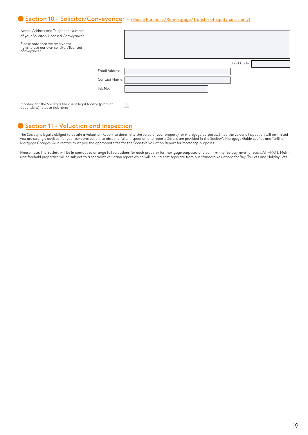### ● Section 10 - Solicitor/Conveyancer - (House Purchase/Remortgage/Transfer of Equity cases only)

| Name, Address and Telephone Number<br>of your Solicitor/Licensed Conveyancer                 |                      |  |           |  |
|----------------------------------------------------------------------------------------------|----------------------|--|-----------|--|
| Please note that we reserve the<br>right to use our own solicitor/licensed<br>conveyancer    |                      |  |           |  |
|                                                                                              |                      |  | Post Code |  |
|                                                                                              | <b>Email Address</b> |  |           |  |
|                                                                                              | Contact Name         |  |           |  |
|                                                                                              | Tel. No.             |  |           |  |
|                                                                                              |                      |  |           |  |
| If opting for the Society's fee assist legal facility (product dependent), please tick here: |                      |  |           |  |

#### Section 11 - Valuation and Inspection

The Society is legally obliged to obtain a Valuation Report to determine the value of your property for mortgage purposes. Since the valuer's inspection will be limited you are strongly advised, for your own protection, to obtain a fuller inspection and report. Details are provided in the Society's Mortgage Guide Leaflet and Tariff of Mortgage Charges. All directors must pay the appropriate fee for the Society's Valuation Report for mortgage purposes.

Please note: The Society will be in contact to arrange full valuations for each property for mortgage purposes and confirm the fee payment for each. All HMO & Multiunit freehold properties will be subject to a specialist valuation report which will incur a cost separate from our standard valuations for Buy-To-Lets and Holiday Lets.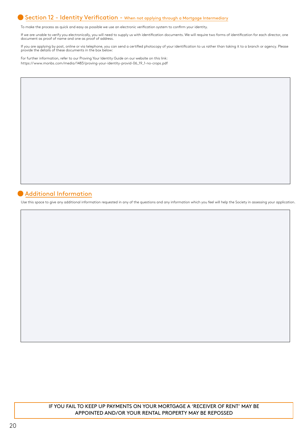#### Section 12 - Identity Verification - When not applying through a Mortgage Intermediary

To make the process as quick and easy as possible we use an electronic verification system to confirm your identity.

If we are unable to verify you electronically, you will need to supply us with identification documents. We will require two forms of identification for each director, one document as proof of name and one as proof of address.

If you are applying by post, online or via telephone, you can send a certified photocopy of your identification to us rather than taking it to a branch or agency. Please<br>provide the details of these documents in the box be

For further information, refer to our Proving Your Identity Guide on our website on this link: https://www.monbs.com/media/1483/proving-your-identity-provid-06\_19\_1-no-crops.pdf

### Additional Information

Use this space to give any additional information requested in any of the questions and any information which you feel will help the Society in assessing your application.

IF YOU FAIL TO KEEP UP PAYMENTS ON YOUR MORTGAGE A 'RECEIVER OF RENT' MAY BE APPOINTED AND/OR YOUR RENTAL PROPERTY MAY BE REPOSSED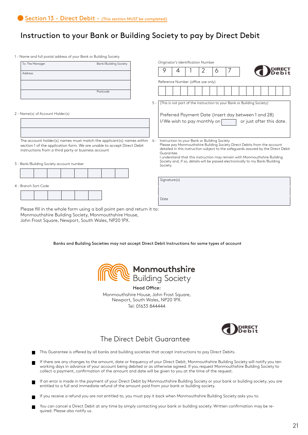# Instruction to your Bank or Building Society to pay by Direct Debit

1 - Name and full postal address of your Bank or Building Society

| To: The Manager                                                         |          | Originator's Identification Number |                                                                              |   |  |   |                                              |                                                                                                                                                            |                          |                                                                                    |
|-------------------------------------------------------------------------|----------|------------------------------------|------------------------------------------------------------------------------|---|--|---|----------------------------------------------|------------------------------------------------------------------------------------------------------------------------------------------------------------|--------------------------|------------------------------------------------------------------------------------|
| Address                                                                 |          |                                    | 9                                                                            | 4 |  | 2 | 6                                            |                                                                                                                                                            |                          |                                                                                    |
|                                                                         |          |                                    | Reference Number (office use only)                                           |   |  |   |                                              |                                                                                                                                                            |                          |                                                                                    |
|                                                                         |          |                                    |                                                                              |   |  |   |                                              |                                                                                                                                                            |                          |                                                                                    |
|                                                                         | Postcode |                                    |                                                                              |   |  |   |                                              |                                                                                                                                                            |                          |                                                                                    |
|                                                                         |          |                                    | 5 -   (This is not part of the instruction to your Bank or Building Society) |   |  |   |                                              |                                                                                                                                                            |                          |                                                                                    |
| 2 - Name(s) of Account Holder(s)                                        |          |                                    | Preferred Payment Date (insert day between 1 and 28)                         |   |  |   |                                              |                                                                                                                                                            |                          |                                                                                    |
|                                                                         |          |                                    |                                                                              |   |  |   | I/We wish to pay monthly on $\sqrt{ }$       |                                                                                                                                                            | or just after this date. |                                                                                    |
|                                                                         |          |                                    |                                                                              |   |  |   |                                              |                                                                                                                                                            |                          |                                                                                    |
| The account holder(s) names must match the applicant(s) names within    |          | 6 -                                |                                                                              |   |  |   | Instruction to your Bank or Building Society |                                                                                                                                                            |                          |                                                                                    |
| section 1 of the application form. We are unable to accept Direct Debit |          |                                    |                                                                              |   |  |   |                                              | Please pay Monmouthshire Building Society Direct Debits from the account                                                                                   |                          | detailed in this instruction subject to the safeguards assured by the Direct Debit |
| instructions from a third party or business account                     |          |                                    | Guarantee.                                                                   |   |  |   |                                              |                                                                                                                                                            |                          |                                                                                    |
| 3 - Bank/Building Society account number                                |          |                                    | Society.                                                                     |   |  |   |                                              | I understand that this instruction may remain with Monmouthshire Building<br>Society and, if so, details will be passed electronically to my Bank/Building |                          |                                                                                    |
|                                                                         |          |                                    |                                                                              |   |  |   |                                              |                                                                                                                                                            |                          |                                                                                    |
|                                                                         |          |                                    | Signature(s)                                                                 |   |  |   |                                              |                                                                                                                                                            |                          |                                                                                    |
| 4 - Branch Sort Code                                                    |          |                                    |                                                                              |   |  |   |                                              |                                                                                                                                                            |                          |                                                                                    |
|                                                                         |          |                                    |                                                                              |   |  |   |                                              |                                                                                                                                                            |                          |                                                                                    |
|                                                                         |          |                                    | Date                                                                         |   |  |   |                                              |                                                                                                                                                            |                          |                                                                                    |
| Please fill in the whole form using a ball point pen and return it to:  |          |                                    |                                                                              |   |  |   |                                              |                                                                                                                                                            |                          |                                                                                    |

Monmouthshire Building Society, Monmouthshire House, John Frost Square, Newport, South Wales, NP20 1PX.

Banks and Building Societies may not accept Direct Debit Instructions for some types of account



Head Office: Monmouthshire House, John Frost Square, Newport, South Wales, NP20 1PX.

Tel: 01633 844444



## The Direct Debit Guarantee

- This Guarantee is offered by all banks and building societies that accept instructions to pay Direct Debits.
- If there are any changes to the amount, date or frequency of your Direct Debit, Monmouthshire Building Society will notify you ten working days in advance of your account being debited or as otherwise agreed. If you request Monmouthshire Building Society to collect a payment, confirmation of the amount and date will be given to you at the time of the request.
- If an error is made in the payment of your Direct Debit by Monmouthshire Building Society or your bank or building society, you are entitled to a full and immediate refund of the amount paid from your bank or building society.
- If you receive a refund you are not entitled to, you must pay it back when Monmouthshire Building Society asks you to.
- You can cancel a Direct Debit at any time by simply contacting your bank or building society. Written confirmation may be required. Please also notify us.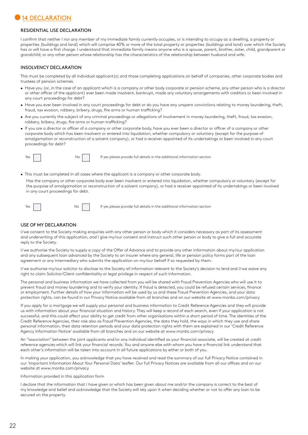# 14 DECLARATION

#### RESIDENTIAL USE DECLARATION

I confirm that neither I nor any member of my immediate family currently occupies, or is intending to occupy as a dwelling, a property or properties (buildings and land) which will comprise 40% or more of the total property or properties (buildings and land) over which the Society has or will have a first charge. I understand that immediate family means anyone who is a spouse, parent, brother, sister, child, grandparent or grandchild; or any other person whose relationship has the characteristics of the relationship between husband and wife.

#### INSOLVENCY DECLARATION

This must be completed by all individual applicant(s) and those completing applications on behalf of companies, other corporate bodies and trustees of pension schemes.

- Have you (or, in the case of an applicant which is a company or other body corporate or pension scheme, any other person who is a director or other officer of the applicant) ever been made insolvent, bankrupt, made any voluntary arrangements with creditors or been involved in any court proceedings for debt?
- Have you ever been involved in any court proceedings for debt or do you have any unspent convictions relating to money laundering, theft, fraud, tax evasion, robbery, bribery, drugs, fire arms or human trafficking?
- Are you currently the subject of any criminal proceedings or allegations of involvement in money laundering, theft, fraud, tax evasion, robbery, bribery, drugs, fire arms or human trafficking?
- If you are a director or officer of a company or other corporate body, have you ever been a director or officer of a company or other corporate body which has been insolvent or entered into liquidation, whether compulsory or voluntary (except for the purpose of amalgamation or reconstruction of a solvent company), or had a receiver appointed of its undertakings or been involved in any court proceedings for debt?



 $Yes$   $\begin{vmatrix} 1 & 1 \end{vmatrix}$  No  $\begin{vmatrix} 1 & 1 \end{vmatrix}$  If yes please provide full details in the additional information section

- This must be completed in all cases where the applicant is a company or other corporate body.
- Has the company or other corporate body ever been insolvent or entered into liquidation, whether compulsory or voluntary (except for the purpose of amalgamation or reconstruction of a solvent company), or had a receiver appointed of its undertakings or been involved in any court proceedings for debt.



Yes No II If yes please provide full details in the additional information section

#### USE OF MY DECLARATION

I/we consent to the Society making enquiries with any other person or body which it considers necessary as part of its assessment and underwriting of this application, and I give my/our consent and instruct such other person or body to give a full and accurate reply to the Society.

I/we authorise the Society to supply a copy of the Offer of Advance and to provide any other information about my/our application and any subsequent loan advanced by the Society to an insurer where any general, life or pension policy forms part of the loan agreement or any intermediary who submits the application on my/our behalf if so requested by them.

I/we authorise my/our solicitor to disclose to the Society all information relevant to the Society's decision to lend and I/we waive any right to claim Solicitor/Client confidentiality or legal privilege in respect of such information.

The personal and business information we have collected from you will be shared with Fraud Prevention Agencies who will use it to prevent fraud and money laundering and to verify your identity. If fraud is detected, you could be refused certain services, finance or employment. Further details of how your information will be used by us and these Fraud Prevention Agencies, and your data protection rights, can be found in our Privacy Notice available from all branches and on our website at www.monbs.com/privacy

If you apply for a mortgage we will supply your personal and business information to Credit Reference Agencies and they will provide us with information about your financial situation and history. They will keep a record of each search, even if your application is not successful, and this could affect your ability to get credit from other organisations within a short period of time. The identities of the Credit Reference Agencies, their role also as Fraud Prevention Agencies, the data they hold, the ways in which they use and share personal information, their data retention periods and your data protection rights with them are explained in our 'Credit Reference Agency Information Notice' available from all branches and on our website at www.monbs.com/privacy

An "association" between the joint applicants and/or any individual identified as your financial associate, will be created at credit reference agencies which will link your financial records. You and anyone else with whom you have a financial link understand that each other's information will be taken into account in all future applications by either or both of you.

In making your application, you acknowledge that you have received and read the summary of our full Privacy Notice contained in our 'Important Information About Your Personal Data' leaflet. Our full Privacy Notices are available from all our offices and on our website at www.monbs.com/privacy

Information provided in this application form

I declare that the information that I have given or which has been given about me and/or the company is correct to the best of my knowledge and belief and acknowledge that the Society will rely upon it when deciding whether or not to offer any loan to be secured on the property.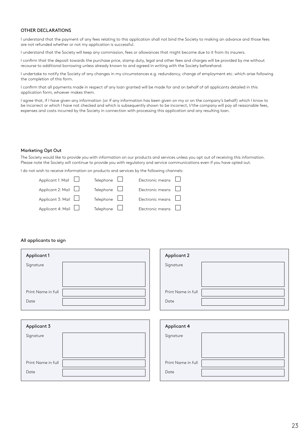#### OTHER DECLARATIONS

I understand that the payment of any fees relating to this application shall not bind the Society to making an advance and those fees are not refunded whether or not my application is successful.

I understand that the Society will keep any commission, fees or allowances that might become due to it from its insurers.

I confirm that the deposit towards the purchase price, stamp duty, legal and other fees and charges will be provided by me without recourse to additional borrowing unless already known to and agreed in writing with the Society beforehand.

I undertake to notify the Society of any changes in my circumstances e.g. redundancy, change of employment etc. which arise following the completion of this form.

I confirm that all payments made in respect of any loan granted will be made for and on behalf of all applicants detailed in this application form, whoever makes them.

I agree that, if I have given any information (or if any information has been given on my or on the company's behalf) which I know to be incorrect or which I have not checked and which is subsequently shown to be incorrect, I/the company will pay all reasonable fees, expenses and costs incurred by the Society in connection with processing this application and any resulting loan.

#### Marketing Opt Out

The Society would like to provide you with information on our products and services unless you opt out of receiving this information. Please note the Society will continue to provide you with regulatory and service communications even if you have opted out.

I do not wish to receive information on products and services by the following channels:

| Applicant 1: Mail        | Telephone $\Box$ | Electronic means $\Box$ |  |
|--------------------------|------------------|-------------------------|--|
| Applicant 2: Mail $\Box$ | Telephone $\Box$ | Electronic means $\Box$ |  |
| Applicant 3: Mail $\Box$ | Telephone $\Box$ | Electronic means $\Box$ |  |
| Applicant 4: Mail $\Box$ | Telephone $\Box$ | Electronic means $\Box$ |  |

#### All applicants to sign

| Applicant 1        | <b>Applicant 2</b> |
|--------------------|--------------------|
| Signature          | Signature          |
|                    |                    |
|                    |                    |
| Print Name in full | Print Name in full |
| Date               | Date               |
|                    |                    |
|                    |                    |
| Applicant 3        | Applicant 4        |
| Signature          | Signature          |
|                    |                    |
|                    |                    |
| Print Name in full | Print Name in full |
| Date               | Date               |